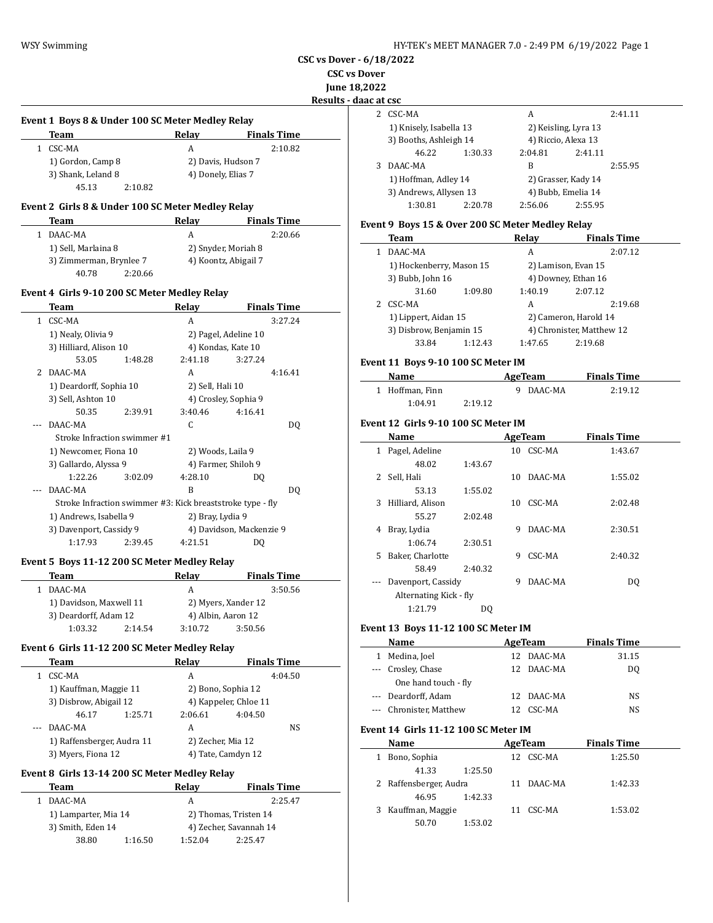**CSC vs Dover - 6/18/2022**

**CSC vs Dover**

**June 18,2022**

**Results - daac a** 

 $\overline{\phantom{a}}$ 

 $\frac{1}{2}$ 

#### **Event 1 Boys 8 & Under 100 SC Meter Medley Relay**

| Team               | Relay              | <b>Finals Time</b> |
|--------------------|--------------------|--------------------|
| CSC-MA             | А                  | 2:10.82            |
| 1) Gordon, Camp 8  | 2) Davis, Hudson 7 |                    |
| 3) Shank, Leland 8 | 4) Donely, Elias 7 |                    |
| 45.13              | 2:10.82            |                    |

# **Event 2 Girls 8 & Under 100 SC Meter Medley Relay**

| Team                    | Relav | <b>Finals Time</b>   |
|-------------------------|-------|----------------------|
| DAAC-MA                 | А     | 2:20.66              |
| 1) Sell, Marlaina 8     |       | 2) Snyder, Moriah 8  |
| 3) Zimmerman, Brynlee 7 |       | 4) Koontz, Abigail 7 |
| 40.78<br>2:20.66        |       |                      |

#### **Event 4 Girls 9-10 200 SC Meter Medley Relay**

|   | Team                                                       |         | Relay                | <b>Finals Time</b>       |
|---|------------------------------------------------------------|---------|----------------------|--------------------------|
| 1 | CSC-MA                                                     |         | A                    | 3:27.24                  |
|   | 1) Nealy, Olivia 9                                         |         |                      | 2) Pagel, Adeline 10     |
|   | 3) Hilliard, Alison 10                                     |         | 4) Kondas, Kate 10   |                          |
|   | 53.05                                                      | 1:48.28 | 2:41.18              | 3:27.24                  |
|   | 2 DAAC-MA                                                  |         | A                    | 4:16.41                  |
|   | 1) Deardorff, Sophia 10                                    |         | 2) Sell, Hali 10     |                          |
|   | 3) Sell, Ashton 10                                         |         | 4) Crosley, Sophia 9 |                          |
|   | 50.35                                                      | 2:39.91 | 3:40.46              | 4:16.41                  |
|   | DAAC-MA                                                    |         | C                    | DO.                      |
|   | Stroke Infraction swimmer #1                               |         |                      |                          |
|   | 1) Newcomer, Fiona 10                                      |         | 2) Woods, Laila 9    |                          |
|   | 3) Gallardo, Alyssa 9                                      |         | 4) Farmer, Shiloh 9  |                          |
|   | 1:22.26                                                    | 3:02.09 | 4:28.10              | DQ                       |
|   | DAAC-MA                                                    |         | B                    | DO.                      |
|   | Stroke Infraction swimmer #3: Kick breaststroke type - fly |         |                      |                          |
|   | 1) Andrews, Isabella 9                                     |         | 2) Bray, Lydia 9     |                          |
|   | 3) Davenport, Cassidy 9                                    |         |                      | 4) Davidson, Mackenzie 9 |
|   | 1:17.93                                                    | 2:39.45 | 4:21.51              | DO                       |

#### **Event 5 Boys 11-12 200 SC Meter Medley Relay**

| Team                    |         | Relav               | <b>Finals Time</b> |  |
|-------------------------|---------|---------------------|--------------------|--|
| DAAC-MA                 |         | А                   | 3:50.56            |  |
| 1) Davidson, Maxwell 11 |         | 2) Myers, Xander 12 |                    |  |
| 3) Deardorff, Adam 12   |         |                     | 4) Albin, Aaron 12 |  |
| 1:03.32                 | 2:14.54 | 3:10.72             | 3:50.56            |  |

# **Event 6 Girls 11-12 200 SC Meter Medley Relay**

| <b>Team</b>                |         | Relay                 | <b>Finals Time</b> |         |
|----------------------------|---------|-----------------------|--------------------|---------|
| CSC-MA                     |         | А                     |                    | 4:04.50 |
| 1) Kauffman, Maggie 11     |         |                       | 2) Bono, Sophia 12 |         |
| 3) Disbrow, Abigail 12     |         | 4) Kappeler, Chloe 11 |                    |         |
| 46.17                      | 1:25.71 | 2:06.61               | 4:04.50            |         |
| DAAC-MA                    |         | А                     |                    | NS      |
| 1) Raffensberger, Audra 11 |         | 2) Zecher, Mia 12     |                    |         |
| 3) Myers, Fiona 12         |         |                       | 4) Tate, Camdyn 12 |         |

# **Event 8 Girls 13-14 200 SC Meter Medley Relay**

| Team                 |         | Relav                 | <b>Finals Time</b>     |  |
|----------------------|---------|-----------------------|------------------------|--|
| DAAC-MA              |         | А                     | 2:25.47                |  |
| 1) Lamparter, Mia 14 |         | 2) Thomas, Tristen 14 |                        |  |
| 3) Smith, Eden 14    |         |                       | 4) Zecher, Savannah 14 |  |
| 38.80                | 1:16.50 | 1:52.04               | 2:25.47                |  |
|                      |         |                       |                        |  |

|   | e at csc                |         |                      |         |         |
|---|-------------------------|---------|----------------------|---------|---------|
| 2 | CSC-MA                  |         | А                    |         | 2:41.11 |
|   | 1) Knisely, Isabella 13 |         | 2) Keisling, Lyra 13 |         |         |
|   | 3) Booths, Ashleigh 14  |         | 4) Riccio, Alexa 13  |         |         |
|   | 46.22                   | 1:30.33 | 2:04.81              | 2:41.11 |         |
|   | DAAC-MA                 |         | B                    |         | 2:55.95 |
|   | 1) Hoffman, Adley 14    |         | 2) Grasser, Kady 14  |         |         |
|   | 3) Andrews, Allysen 13  |         | 4) Bubb, Emelia 14   |         |         |
|   | 1:30.81                 | 2:20.78 | 2:56.06              | 2:55.95 |         |
|   |                         |         |                      |         |         |

#### **Event 9 Boys 15 & Over 200 SC Meter Medley Relay**

| Team                     |         | Relay                 | <b>Finals Time</b>        |
|--------------------------|---------|-----------------------|---------------------------|
| DAAC-MA                  |         | A                     | 2:07.12                   |
| 1) Hockenberry, Mason 15 |         | 2) Lamison, Evan 15   |                           |
| 3) Bubb, John 16         |         |                       | 4) Downey, Ethan 16       |
| 31.60                    | 1:09.80 | 1:40.19               | 2:07.12                   |
| CSC-MA                   |         | A                     | 2:19.68                   |
| 1) Lippert, Aidan 15     |         | 2) Cameron, Harold 14 |                           |
| 3) Disbrow, Benjamin 15  |         |                       | 4) Chronister, Matthew 12 |
| 33.84                    | 1:12.43 | 1:47.65               | 2:19.68                   |

#### **Event 11 Boys 9-10 100 SC Meter IM**

| Name            |         | AgeTeam   | <b>Finals Time</b> |  |
|-----------------|---------|-----------|--------------------|--|
| 1 Hoffman, Finn |         | 9 DAAC-MA | 2:19.12            |  |
| 1:04.91         | 2:19.12 |           |                    |  |

# **Event 12 Girls 9-10 100 SC Meter IM**

|    | Name                   |         |    | <b>AgeTeam</b> | <b>Finals Time</b> |  |
|----|------------------------|---------|----|----------------|--------------------|--|
| 1  | Pagel, Adeline         |         | 10 | CSC-MA         | 1:43.67            |  |
|    | 48.02                  | 1:43.67 |    |                |                    |  |
| 2  | Sell, Hali             |         | 10 | DAAC-MA        | 1:55.02            |  |
|    | 53.13                  | 1:55.02 |    |                |                    |  |
| 3  | Hilliard, Alison       |         | 10 | CSC-MA         | 2:02.48            |  |
|    | 55.27                  | 2:02.48 |    |                |                    |  |
| 4  | Bray, Lydia            |         | 9  | DAAC-MA        | 2:30.51            |  |
|    | 1:06.74                | 2:30.51 |    |                |                    |  |
| 5. | Baker, Charlotte       |         | 9  | CSC-MA         | 2:40.32            |  |
|    | 58.49                  | 2:40.32 |    |                |                    |  |
|    | Davenport, Cassidy     |         | 9  | DAAC-MA        | DO.                |  |
|    | Alternating Kick - fly |         |    |                |                    |  |
|    | 1:21.79                | DO.     |    |                |                    |  |

# **Event 13 Boys 11-12 100 SC Meter IM**

| Name                 | AgeTeam |            | <b>Finals Time</b> |  |
|----------------------|---------|------------|--------------------|--|
| Medina, Joel         |         | 12 DAAC-MA | 31.15              |  |
| --- Crosley, Chase   |         | 12 DAAC-MA | DO.                |  |
| One hand touch - fly |         |            |                    |  |
| --- Deardorff, Adam  |         | 12 DAAC-MA | NS                 |  |
| Chronister, Matthew  |         | CSC-MA     | NS                 |  |

# **Event 14 Girls 11-12 100 SC Meter IM**

|   | Name                   |         | AgeTeam    | <b>Finals Time</b> |
|---|------------------------|---------|------------|--------------------|
|   | Bono, Sophia           |         | 12 CSC-MA  | 1:25.50            |
|   | 41.33                  | 1:25.50 |            |                    |
|   | 2 Raffensberger, Audra |         | 11 DAAC-MA | 1:42.33            |
|   | 46.95                  | 1:42.33 |            |                    |
| 3 | Kauffman, Maggie       |         | CSC-MA     | 1:53.02            |
|   | 50.70                  | 1:53.02 |            |                    |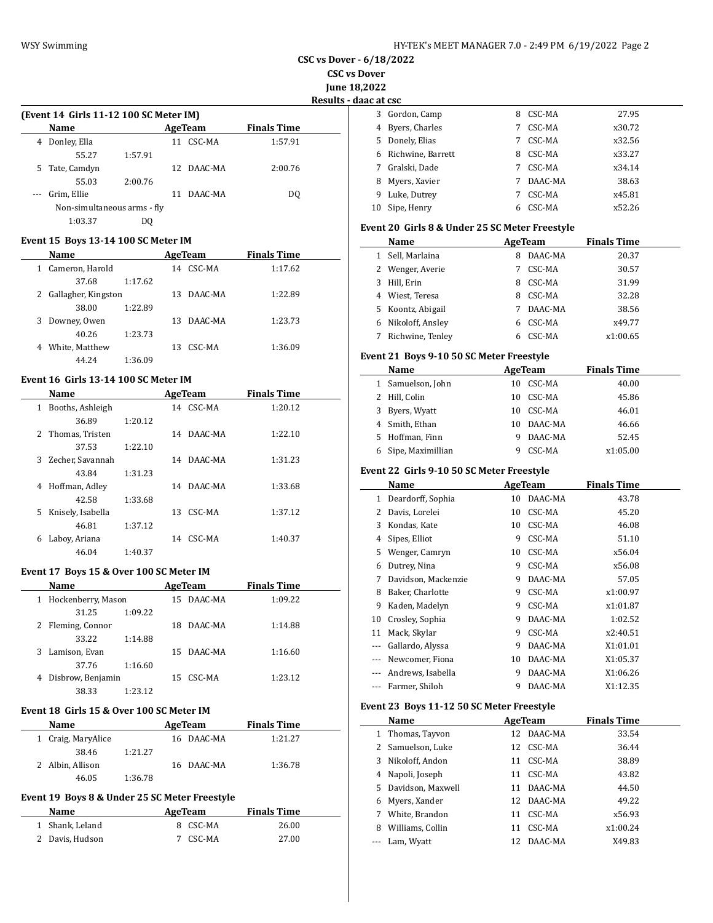| HY-TEK's MEET MANAGER 7.0 - 2:49 PM 6/19/2022 Page 2 |  |  |
|------------------------------------------------------|--|--|
|------------------------------------------------------|--|--|

**CSC vs Dover - 6/18/2022**

**CSC vs Dover**

**June 18,2022**

**Results - daac at csc**

|    | 3 Gordon, Camp    | 8 | CSC-MA  | 27.95  |
|----|-------------------|---|---------|--------|
| 4  | Byers, Charles    | 7 | CSC-MA  | x30.72 |
| 5. | Donely, Elias     | 7 | CSC-MA  | x32.56 |
| 6. | Richwine, Barrett | 8 | CSC-MA  | x33.27 |
| 7  | Gralski, Dade     | 7 | CSC-MA  | x34.14 |
| 8  | Myers, Xavier     | 7 | DAAC-MA | 38.63  |
| 9  | Luke, Dutrey      |   | CSC-MA  | x45.81 |
| 10 | Sipe, Henry       | 6 | CSC-MA  | x52.26 |

#### **Event 20 Girls 8 & Under 25 SC Meter Freestyle**

|   | Name              |   | AgeTeam | <b>Finals Time</b> |  |
|---|-------------------|---|---------|--------------------|--|
| 1 | Sell, Marlaina    | 8 | DAAC-MA | 20.37              |  |
|   | 2 Wenger, Averie  |   | CSC-MA  | 30.57              |  |
| 3 | Hill, Erin        | 8 | CSC-MA  | 31.99              |  |
| 4 | Wiest, Teresa     | 8 | CSC-MA  | 32.28              |  |
|   | 5 Koontz, Abigail |   | DAAC-MA | 38.56              |  |
| 6 | Nikoloff, Ansley  | 6 | CSC-MA  | x49.77             |  |
|   | Richwine, Tenley  | 6 | CSC-MA  | x1:00.65           |  |

#### **Event 21 Boys 9-10 50 SC Meter Freestyle**

| Name          |                   |    | AgeTeam | <b>Finals Time</b> |  |
|---------------|-------------------|----|---------|--------------------|--|
|               | 1 Samuelson, John | 10 | CSC-MA  | 40.00              |  |
| 2 Hill, Colin |                   | 10 | CSC-MA  | 45.86              |  |
|               | 3 Byers, Wyatt    | 10 | CSC-MA  | 46.01              |  |
|               | 4 Smith, Ethan    | 10 | DAAC-MA | 46.66              |  |
|               | 5 Hoffman, Finn   | 9  | DAAC-MA | 52.45              |  |
| 6             | Sipe, Maximillian |    | CSC-MA  | x1:05.00           |  |

#### **Event 22 Girls 9-10 50 SC Meter Freestyle**

|       | Name                | AgeTeam |         | <b>Finals Time</b> |  |
|-------|---------------------|---------|---------|--------------------|--|
| 1     | Deardorff, Sophia   | 10      | DAAC-MA | 43.78              |  |
| 2     | Davis, Lorelei      | 10      | CSC-MA  | 45.20              |  |
| 3     | Kondas, Kate        | 10      | CSC-MA  | 46.08              |  |
| 4     | Sipes, Elliot       | 9       | CSC-MA  | 51.10              |  |
| 5     | Wenger, Camryn      | 10      | CSC-MA  | x56.04             |  |
| 6     | Dutrey, Nina        | 9       | CSC-MA  | x56.08             |  |
| 7     | Davidson, Mackenzie | 9       | DAAC-MA | 57.05              |  |
| 8     | Baker, Charlotte    | 9       | CSC-MA  | x1:00.97           |  |
| 9     | Kaden, Madelyn      | 9       | CSC-MA  | x1:01.87           |  |
| 10    | Crosley, Sophia     | 9       | DAAC-MA | 1:02.52            |  |
| 11    | Mack, Skylar        | 9       | CSC-MA  | x2:40.51           |  |
|       | Gallardo, Alyssa    | 9       | DAAC-MA | X1:01.01           |  |
| $---$ | Newcomer, Fiona     | 10      | DAAC-MA | X1:05.37           |  |
|       | Andrews, Isabella   | 9       | DAAC-MA | X1:06.26           |  |
|       | Farmer, Shiloh      | 9       | DAAC-MA | X1:12.35           |  |

# **Event 23 Boys 11-12 50 SC Meter Freestyle**

|   | Name                |    | AgeTeam    | <b>Finals Time</b> |  |
|---|---------------------|----|------------|--------------------|--|
|   | 1 Thomas, Tayyon    |    | 12 DAAC-MA | 33.54              |  |
|   | 2 Samuelson, Luke   |    | 12 CSC-MA  | 36.44              |  |
| 3 | Nikoloff, Andon     | 11 | CSC-MA     | 38.89              |  |
| 4 | Napoli, Joseph      | 11 | CSC-MA     | 43.82              |  |
|   | 5 Davidson, Maxwell | 11 | DAAC-MA    | 44.50              |  |
| 6 | Myers, Xander       |    | 12 DAAC-MA | 49.22              |  |
| 7 | White, Brandon      | 11 | CSC-MA     | x56.93             |  |
| 8 | Williams, Collin    | 11 | CSC-MA     | x1:00.24           |  |
|   | Lam, Wyatt          |    | 12 DAAC-MA | X49.83             |  |

|          | (Event 14 Girls 11-12 100 SC Meter IM) |         |    |            |                    |  |
|----------|----------------------------------------|---------|----|------------|--------------------|--|
|          | <b>Name</b>                            |         |    | AgeTeam    | <b>Finals Time</b> |  |
| 4        | Donley, Ella                           |         |    | 11 CSC-MA  | 1:57.91            |  |
|          | 55.27                                  | 1:57.91 |    |            |                    |  |
| 5.       | Tate, Camdyn                           |         |    | 12 DAAC-MA | 2:00.76            |  |
|          | 55.03                                  | 2:00.76 |    |            |                    |  |
| $\cdots$ | Grim, Ellie                            |         | 11 | DAAC-MA    | DO.                |  |
|          | Non-simultaneous arms - fly            |         |    |            |                    |  |
|          | 1:03.37                                | DO      |    |            |                    |  |
|          |                                        |         |    |            |                    |  |

#### **Event 15 Boys 13-14 100 SC Meter IM**

| Name                  |         |    | AgeTeam | <b>Finals Time</b> |  |
|-----------------------|---------|----|---------|--------------------|--|
| Cameron, Harold<br>1  |         | 14 | CSC-MA  | 1:17.62            |  |
| 37.68                 | 1:17.62 |    |         |                    |  |
| 2 Gallagher, Kingston |         | 13 | DAAC-MA | 1:22.89            |  |
| 38.00                 | 1:22.89 |    |         |                    |  |
| Downey, Owen<br>3     |         | 13 | DAAC-MA | 1:23.73            |  |
| 40.26                 | 1:23.73 |    |         |                    |  |
| White, Matthew<br>4   |         | 13 | CSC-MA  | 1:36.09            |  |
| 44.24                 | 1:36.09 |    |         |                    |  |

### **Event 16 Girls 13-14 100 SC Meter IM**

|    | Name               |         |    | AgeTeam    | <b>Finals Time</b> |  |
|----|--------------------|---------|----|------------|--------------------|--|
| 1  | Booths, Ashleigh   |         |    | 14 CSC-MA  | 1:20.12            |  |
|    | 36.89              | 1:20.12 |    |            |                    |  |
|    | 2 Thomas, Tristen  |         |    | 14 DAAC-MA | 1:22.10            |  |
|    | 37.53              | 1:22.10 |    |            |                    |  |
|    | 3 Zecher, Savannah |         |    | 14 DAAC-MA | 1:31.23            |  |
|    | 43.84              | 1:31.23 |    |            |                    |  |
| 4  | Hoffman, Adley     |         |    | 14 DAAC-MA | 1:33.68            |  |
|    | 42.58              | 1:33.68 |    |            |                    |  |
| 5. | Knisely, Isabella  |         | 13 | CSC-MA     | 1:37.12            |  |
|    | 46.81              | 1:37.12 |    |            |                    |  |
| 6  | Laboy, Ariana      |         | 14 | CSC-MA     | 1:40.37            |  |
|    | 46.04              | 1:40.37 |    |            |                    |  |

#### **Event 17 Boys 15 & Over 100 SC Meter IM**

|    | Name                 |         |     | AgeTeam    | <b>Finals Time</b> |  |
|----|----------------------|---------|-----|------------|--------------------|--|
|    | 1 Hockenberry, Mason |         |     | 15 DAAC-MA | 1:09.22            |  |
|    | 31.25                | 1:09.22 |     |            |                    |  |
|    | 2 Fleming, Connor    |         | 18. | DAAC-MA    | 1:14.88            |  |
|    | 33.22                | 1:14.88 |     |            |                    |  |
| 3. | Lamison, Evan        |         |     | 15 DAAC-MA | 1:16.60            |  |
|    | 37.76                | 1:16.60 |     |            |                    |  |
| 4  | Disbrow, Benjamin    |         |     | 15 CSC-MA  | 1:23.12            |  |
|    | 38.33                | 1:23.12 |     |            |                    |  |

#### **Event 18 Girls 15 & Over 100 SC Meter IM**

| <b>Name</b>        | AgeTeam |  |            | <b>Finals Time</b> |  |
|--------------------|---------|--|------------|--------------------|--|
| 1 Craig, MaryAlice |         |  | 16 DAAC-MA | 1:21.27            |  |
| 38.46              | 1:21.27 |  |            |                    |  |
| 2 Albin, Allison   |         |  | 16 DAAC-MA | 1:36.78            |  |
| 46.05              | 1:36.78 |  |            |                    |  |

# **Event 19 Boys 8 & Under 25 SC Meter Freestyle**

| Name            | AgeTeam  | <b>Finals Time</b> |
|-----------------|----------|--------------------|
| 1 Shank, Leland | 8 CSC-MA | 26.00              |
| 2 Davis, Hudson | 7 CSC-MA | 27.00              |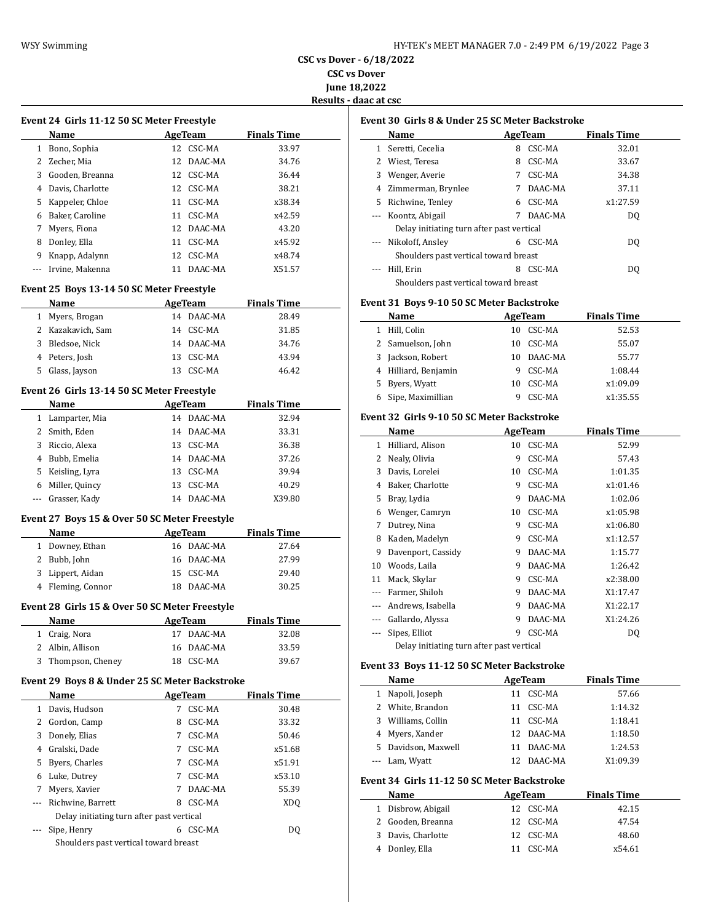**CSC vs Dover - 6/18/2022 CSC vs Dover**

**June 18,2022**

**Results - daac at csc**

|     | Event 24 Girls 11-12 50 SC Meter Freestyle       |                          |                    | Е |
|-----|--------------------------------------------------|--------------------------|--------------------|---|
|     | Name                                             | AgeTeam Finals Time      |                    |   |
|     | 1 Bono, Sophia                                   | 12 CSC-MA                | 33.97              |   |
|     | 2 Zecher, Mia                                    | 12 DAAC-MA               | 34.76              |   |
|     | 3 Gooden, Breanna                                | 12 CSC-MA                | 36.44              |   |
|     | 4 Davis, Charlotte                               | 12 CSC-MA                | 38.21              |   |
|     | 5 Kappeler, Chloe                                | 11 CSC-MA                | x38.34             |   |
|     | 6 Baker, Caroline                                | 11 CSC-MA                | x42.59             |   |
|     | 7 Myers, Fiona                                   | 12 DAAC-MA               | 43.20              |   |
|     | 8 Donley, Ella                                   | 11 CSC-MA                | x45.92             |   |
|     | 9 Knapp, Adalynn                                 | 12 CSC-MA                | x48.74             |   |
| --- | Irvine, Makenna                                  | 11 DAAC-MA               | X51.57             |   |
|     | Event 25 Boys 13-14 50 SC Meter Freestyle        |                          |                    |   |
|     | Name                                             | <b>Example 2</b> AgeTeam | <b>Finals Time</b> | E |
|     | 1 Myers, Brogan                                  | 14 DAAC-MA               | 28.49              |   |
|     | 2 Kazakavich, Sam                                | 14 CSC-MA                | 31.85              |   |
|     | 3 Bledsoe, Nick                                  | 14 DAAC-MA               | 34.76              |   |
|     | 4 Peters, Josh                                   | 13 CSC-MA                | 43.94              |   |
|     | 5 Glass, Jayson                                  | 13 CSC-MA                | 46.42              |   |
|     | Event 26 Girls 13-14 50 SC Meter Freestyle       |                          |                    |   |
|     | Name                                             | <b>AgeTeam</b>           | <b>Finals Time</b> |   |
|     | 1 Lamparter, Mia                                 | 14 DAAC-MA               | 32.94              | E |
|     | 2 Smith, Eden                                    | 14 DAAC-MA               | 33.31              |   |
|     | 3 Riccio, Alexa                                  | 13 CSC-MA                | 36.38              |   |
|     | 4 Bubb, Emelia                                   | 14 DAAC-MA               | 37.26              |   |
|     | 5 Keisling, Lyra                                 | 13 CSC-MA                | 39.94              |   |
|     | 6 Miller, Quincy                                 | 13 CSC-MA                | 40.29              |   |
|     | --- Grasser, Kady                                | 14 DAAC-MA               | X39.80             |   |
|     | Event 27 Boys 15 & Over 50 SC Meter Freestyle    |                          |                    |   |
|     | Name<br><u> 1990 - Johann Barbara, p</u> ersonal | AgeTeam                  | <b>Finals Time</b> |   |
|     | 1 Downey, Ethan                                  | 16 DAAC-MA               | 27.64              |   |
|     | 2 Bubb, John                                     | 16 DAAC-MA               | 27.99              |   |
|     | 3 Lippert, Aidan                                 | 15 CSC-MA                | 29.40              |   |
|     | 4 Fleming, Connor                                | 18 DAAC-MA               | 30.25              |   |
|     | Event 28 Girls 15 & Over 50 SC Meter Freestyle   |                          |                    |   |
|     | Name                                             | AgeTeam Finals Time      |                    |   |
| 1   | Craig, Nora                                      | 17 DAAC-MA               | 32.08              |   |
| 2   | Albin, Allison                                   | 16<br>DAAC-MA            | 33.59              |   |
| 3   | Thompson, Cheney                                 | 18 CSC-MA                | 39.67              | Е |
|     | Event 29 Boys 8 & Under 25 SC Meter Backstroke   |                          |                    |   |
|     | Name                                             | <b>AgeTeam</b>           | <b>Finals Time</b> |   |
|     | 1 Davis, Hudson                                  | CSC-MA<br>7              | 30.48              |   |
| 2   | Gordon, Camp                                     | CSC-MA<br>8              | 33.32              |   |
| 3   | Donely, Elias                                    | 7 CSC-MA                 | 50.46              |   |
|     | 4 Gralski, Dade                                  | 7 CSC-MA                 | x51.68             |   |
| 5   | Byers, Charles                                   | 7 CSC-MA                 | x51.91             |   |
|     | 6 Luke, Dutrey                                   | 7 CSC-MA                 | x53.10             | E |
| 7   | Myers, Xavier                                    | 7 DAAC-MA                | 55.39              |   |
| --- | Richwine, Barrett                                | 8 CSC-MA                 | XDQ                |   |
|     | Delay initiating turn after past vertical        |                          |                    |   |
| --- | Sipe, Henry                                      | 6 CSC-MA                 | DQ                 |   |
|     | Shoulders past vertical toward breast            |                          |                    |   |

| <b>Event 30 Girls 8 &amp; Under 25 SC Meter Backstroke</b> |                                           |   |         |                    |  |  |  |
|------------------------------------------------------------|-------------------------------------------|---|---------|--------------------|--|--|--|
|                                                            | Name                                      |   | AgeTeam | <b>Finals Time</b> |  |  |  |
|                                                            | Seretti, Cecelia                          | 8 | CSC-MA  | 32.01              |  |  |  |
|                                                            | 2 Wiest, Teresa                           | 8 | CSC-MA  | 33.67              |  |  |  |
| 3                                                          | Wenger, Averie                            |   | CSC-MA  | 34.38              |  |  |  |
|                                                            | 4 Zimmerman, Brynlee                      |   | DAAC-MA | 37.11              |  |  |  |
| 5.                                                         | Richwine, Tenley                          |   | CSC-MA  | x1:27.59           |  |  |  |
|                                                            | --- Koontz, Abigail                       |   | DAAC-MA | DO.                |  |  |  |
|                                                            | Delay initiating turn after past vertical |   |         |                    |  |  |  |

| --- Nikoloff, Ansley                  |  | 6 CSC-MA | D <sub>0</sub> |  |
|---------------------------------------|--|----------|----------------|--|
| Shoulders past vertical toward breast |  |          |                |  |
| ---    Hill. Erin                     |  | 8 CSC-MA | DO             |  |
| Shoulders past vertical toward breast |  |          |                |  |

#### **Event 31 Boys 9-10 50 SC Meter Backstroke**

|    | Name                 |     | AgeTeam    | <b>Finals Time</b> |  |
|----|----------------------|-----|------------|--------------------|--|
|    | Hill, Colin          | 10. | CSC-MA     | 52.53              |  |
|    | 2 Samuelson, John    | 10. | CSC-MA     | 55.07              |  |
| 3  | Jackson, Robert      |     | 10 DAAC-MA | 55.77              |  |
|    | 4 Hilliard, Benjamin | 9   | CSC-MA     | 1:08.44            |  |
| 5. | Byers, Wyatt         | 10. | CSC-MA     | x1:09.09           |  |
|    | Sipe, Maximillian    | 9   | CSC-MA     | x1:35.55           |  |

# **Event 32 Girls 9-10 50 SC Meter Backstroke**

|              | Name                                      |    | AgeTeam | <b>Finals Time</b> |  |  |  |  |
|--------------|-------------------------------------------|----|---------|--------------------|--|--|--|--|
| $\mathbf{1}$ | Hilliard, Alison                          | 10 | CSC-MA  | 52.99              |  |  |  |  |
| 2            | Nealy, Olivia                             | 9  | CSC-MA  | 57.43              |  |  |  |  |
| 3            | Davis, Lorelei                            | 10 | CSC-MA  | 1:01.35            |  |  |  |  |
| 4            | Baker, Charlotte                          | 9  | CSC-MA  | x1:01.46           |  |  |  |  |
| 5            | Bray, Lydia                               | 9  | DAAC-MA | 1:02.06            |  |  |  |  |
| 6            | Wenger, Camryn                            | 10 | CSC-MA  | x1:05.98           |  |  |  |  |
| 7            | Dutrey, Nina                              | 9  | CSC-MA  | x1:06.80           |  |  |  |  |
| 8            | Kaden, Madelyn                            | 9  | CSC-MA  | x1:12.57           |  |  |  |  |
| 9            | Davenport, Cassidy                        | 9  | DAAC-MA | 1:15.77            |  |  |  |  |
| 10           | Woods, Laila                              | 9  | DAAC-MA | 1:26.42            |  |  |  |  |
| 11           | Mack, Skylar                              | 9  | CSC-MA  | x2:38.00           |  |  |  |  |
|              | Farmer, Shiloh                            | 9  | DAAC-MA | X1:17.47           |  |  |  |  |
|              | Andrews, Isabella                         | 9  | DAAC-MA | X1:22.17           |  |  |  |  |
|              | Gallardo, Alyssa                          | 9  | DAAC-MA | X1:24.26           |  |  |  |  |
|              | Sipes, Elliot                             | 9  | CSC-MA  | DQ                 |  |  |  |  |
|              | Delay initiating turn after past vertical |    |         |                    |  |  |  |  |

# **Event 33 Boys 11-12 50 SC Meter Backstroke**

|    | Name               | AgeTeam |            | <b>Finals Time</b> |  |
|----|--------------------|---------|------------|--------------------|--|
| 1  | Napoli, Joseph     | 11      | CSC-MA     | 57.66              |  |
|    | 2 White, Brandon   | 11      | CSC-MA     | 1:14.32            |  |
|    | 3 Williams, Collin | 11      | CSC-MA     | 1:18.41            |  |
|    | 4 Myers, Xander    |         | 12 DAAC-MA | 1:18.50            |  |
| 5. | Davidson, Maxwell  | 11      | DAAC-MA    | 1:24.53            |  |
|    | --- Lam, Wyatt     | 12.     | DAAC-MA    | X1:09.39           |  |

#### **Event 34 Girls 11-12 50 SC Meter Backstroke**

| Name               |    | AgeTeam   | <b>Finals Time</b> |  |
|--------------------|----|-----------|--------------------|--|
| 1 Disbrow, Abigail |    | 12 CSC-MA | 42.15              |  |
| 2 Gooden, Breanna  |    | 12 CSC-MA | 47.54              |  |
| 3 Davis, Charlotte |    | 12 CSC-MA | 48.60              |  |
| 4 Donley, Ella     | 11 | CSC-MA    | x54.61             |  |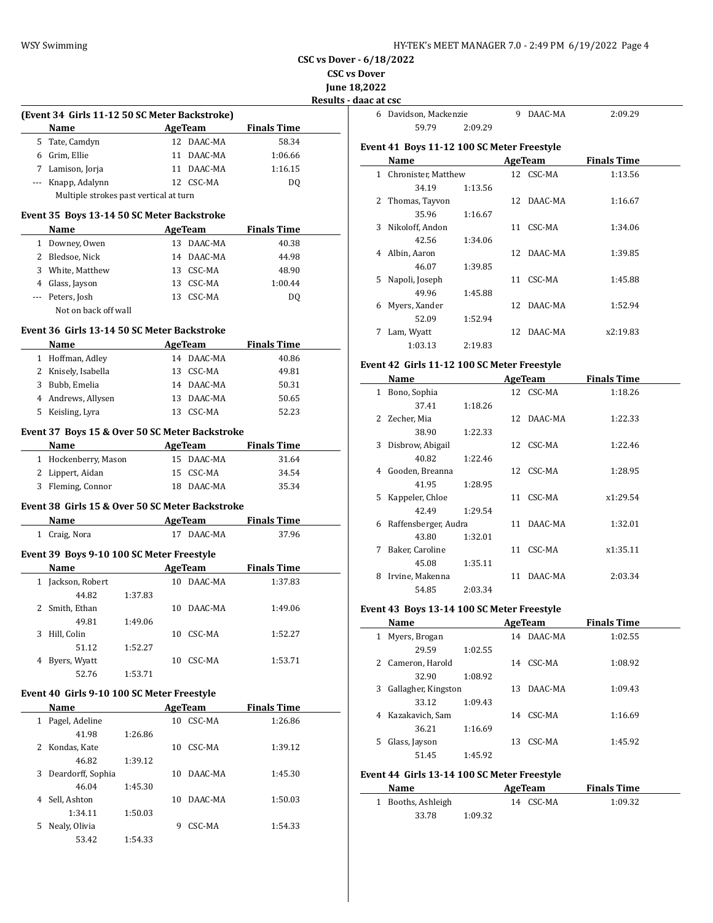6 Davidson, Mackenzie 9 DAAC-MA 2:09.29

**CSC vs Dover - 6/18/2022**

**CSC vs Dover**

**June 18,2022 Results - daac at csc**

 $\overline{\phantom{a}}$ 

 $\overline{\phantom{a}}$ 

 $\frac{1}{2}$ 

**(Event 34 Girls 11-12 50 SC Meter Backstroke) Name Age Team Finals Time** 5 Tate, Camdyn 12 DAAC-MA 58.34 6 Grim, Ellie 11 DAAC-MA 1:06.66 7 Lamison, Jorja 11 DAAC-MA 1:16.15 --- Knapp, Adalynn 12 CSC-MA DQ

Multiple strokes past vertical at turn

#### **Event 35 Boys 13-14 50 SC Meter Backstroke**

|   | <b>Name</b>          | AgeTeam |            | <b>Finals Time</b> |  |
|---|----------------------|---------|------------|--------------------|--|
| 1 | Downey, Owen         | 13.     | DAAC-MA    | 40.38              |  |
|   | 2 Bledsoe, Nick      |         | 14 DAAC-MA | 44.98              |  |
| 3 | White, Matthew       |         | 13 CSC-MA  | 48.90              |  |
|   | 4 Glass, Jayson      |         | 13 CSC-MA  | 1:00.44            |  |
|   | --- Peters, Josh     | 13.     | CSC-MA     | DO.                |  |
|   | Not on back off wall |         |            |                    |  |

#### **Event 36 Girls 13-14 50 SC Meter Backstroke**

|    | <b>Name</b>         |    | AgeTeam    | <b>Finals Time</b> |
|----|---------------------|----|------------|--------------------|
|    | 1 Hoffman, Adley    |    | 14 DAAC-MA | 40.86              |
|    | 2 Knisely, Isabella |    | 13 CSC-MA  | 49.81              |
| 3  | Bubb, Emelia        |    | 14 DAAC-MA | 50.31              |
|    | 4 Andrews, Allysen  |    | 13 DAAC-MA | 50.65              |
| 5. | Keisling, Lyra      | 13 | CSC-MA     | 52.23              |

#### **Event 37 Boys 15 & Over 50 SC Meter Backstroke**

| <b>Name</b>          | AgeTeam |            | <b>Finals Time</b> |       |
|----------------------|---------|------------|--------------------|-------|
| 1 Hockenberry, Mason |         | 15 DAAC-MA |                    | 31.64 |
| 2 Lippert, Aidan     |         | 15 CSC-MA  |                    | 34.54 |
| 3 Fleming, Connor    |         | 18 DAAC-MA |                    | 35.34 |

# **Event 38 Girls 15 & Over 50 SC Meter Backstroke**

|   | Name                                      |         |    | AgeTeam    | <b>Finals Time</b> |  |
|---|-------------------------------------------|---------|----|------------|--------------------|--|
| 1 | Craig, Nora                               |         | 17 | DAAC-MA    | 37.96              |  |
|   | Event 39 Boys 9-10 100 SC Meter Freestyle |         |    |            |                    |  |
|   | Name                                      |         |    | AgeTeam    | <b>Finals Time</b> |  |
|   | Jackson, Robert                           |         |    | 10 DAAC-MA | 1:37.83            |  |
|   | 44.82                                     | 1:37.83 |    |            |                    |  |
|   | 2 Smith, Ethan                            |         | 10 | DAAC-MA    | 1:49.06            |  |
|   | 49.81                                     | 1:49.06 |    |            |                    |  |
| 3 | Hill. Colin                               |         | 10 | CSC-MA     | 1:52.27            |  |

| 51.12          | 1:52.27 |           |         |
|----------------|---------|-----------|---------|
| 4 Byers, Wyatt |         | 10 CSC-MA | 1:53.71 |
| 52.76          | 1:53.71 |           |         |

#### **Event 40 Girls 9-10 100 SC Meter Freestyle**

|   | Name              |         |    | AgeTeam | <b>Finals Time</b> |
|---|-------------------|---------|----|---------|--------------------|
| 1 | Pagel, Adeline    |         | 10 | CSC-MA  | 1:26.86            |
|   | 41.98             | 1:26.86 |    |         |                    |
| 2 | Kondas, Kate      |         | 10 | CSC-MA  | 1:39.12            |
|   | 46.82             | 1:39.12 |    |         |                    |
| 3 | Deardorff, Sophia |         | 10 | DAAC-MA | 1:45.30            |
|   | 46.04             | 1:45.30 |    |         |                    |
| 4 | Sell, Ashton      |         | 10 | DAAC-MA | 1:50.03            |
|   | 1:34.11           | 1:50.03 |    |         |                    |
| 5 | Nealy, Olivia     |         | 9  | CSC-MA  | 1:54.33            |
|   | 53.42             | 1:54.33 |    |         |                    |

# 59.79 2:09.29

# **Event 41 Boys 11-12 100 SC Meter Freestyle**

|   | Name                |         |    | AgeTeam    | <b>Finals Time</b> |  |
|---|---------------------|---------|----|------------|--------------------|--|
| 1 | Chronister, Matthew |         |    | 12 CSC-MA  | 1:13.56            |  |
|   | 34.19               | 1:13.56 |    |            |                    |  |
| 2 | Thomas, Tayyon      |         | 12 | DAAC-MA    | 1:16.67            |  |
|   | 35.96               | 1:16.67 |    |            |                    |  |
| 3 | Nikoloff, Andon     |         | 11 | CSC-MA     | 1:34.06            |  |
|   | 42.56               | 1:34.06 |    |            |                    |  |
| 4 | Albin, Aaron        |         |    | 12 DAAC-MA | 1:39.85            |  |
|   | 46.07               | 1:39.85 |    |            |                    |  |
| 5 | Napoli, Joseph      |         | 11 | CSC-MA     | 1:45.88            |  |
|   | 49.96               | 1:45.88 |    |            |                    |  |
| 6 | Myers, Xander       |         |    | 12 DAAC-MA | 1:52.94            |  |
|   | 52.09               | 1:52.94 |    |            |                    |  |
| 7 | Lam, Wyatt          |         |    | 12 DAAC-MA | x2:19.83           |  |
|   | 1:03.13             | 2:19.83 |    |            |                    |  |

# **Event 42 Girls 11-12 100 SC Meter Freestyle**

|    | Name                 |         |    | AgeTeam    | <b>Finals Time</b> |  |
|----|----------------------|---------|----|------------|--------------------|--|
| 1  | Bono, Sophia         |         |    | 12 CSC-MA  | 1:18.26            |  |
|    | 37.41                | 1:18.26 |    |            |                    |  |
| 2. | Zecher, Mia          |         |    | 12 DAAC-MA | 1:22.33            |  |
|    | 38.90                | 1:22.33 |    |            |                    |  |
| 3  | Disbrow, Abigail     |         |    | 12 CSC-MA  | 1:22.46            |  |
|    | 40.82                | 1:22.46 |    |            |                    |  |
| 4  | Gooden, Breanna      |         |    | 12 CSC-MA  | 1:28.95            |  |
|    | 41.95                | 1:28.95 |    |            |                    |  |
| 5. | Kappeler, Chloe      |         |    | 11 CSC-MA  | x1:29.54           |  |
|    | 42.49                | 1:29.54 |    |            |                    |  |
| 6  | Raffensberger, Audra |         |    | 11 DAAC-MA | 1:32.01            |  |
|    | 43.80                | 1:32.01 |    |            |                    |  |
| 7  | Baker, Caroline      |         |    | 11 CSC-MA  | x1:35.11           |  |
|    | 45.08                | 1:35.11 |    |            |                    |  |
| 8  | Irvine, Makenna      |         | 11 | DAAC-MA    | 2:03.34            |  |
|    | 54.85                | 2:03.34 |    |            |                    |  |

#### **Event 43 Boys 13-14 100 SC Meter Freestyle**

|   | Name                |         |    | AgeTeam | <b>Finals Time</b> |  |
|---|---------------------|---------|----|---------|--------------------|--|
|   | Myers, Brogan       |         | 14 | DAAC-MA | 1:02.55            |  |
|   | 29.59               | 1:02.55 |    |         |                    |  |
| 2 | Cameron, Harold     |         | 14 | CSC-MA  | 1:08.92            |  |
|   | 32.90               | 1:08.92 |    |         |                    |  |
| 3 | Gallagher, Kingston |         | 13 | DAAC-MA | 1:09.43            |  |
|   | 33.12               | 1:09.43 |    |         |                    |  |
| 4 | Kazakavich, Sam     |         | 14 | CSC-MA  | 1:16.69            |  |
|   | 36.21               | 1:16.69 |    |         |                    |  |
| 5 | Glass, Jayson       |         | 13 | CSC-MA  | 1:45.92            |  |
|   | 51.45               | 1:45.92 |    |         |                    |  |

# **Event 44 Girls 13-14 100 SC Meter Freestyle**

| Name |                    |         | AgeTeam   | <b>Finals Time</b> |  |
|------|--------------------|---------|-----------|--------------------|--|
|      | 1 Booths, Ashleigh |         | 14 CSC-MA | 1:09.32            |  |
|      | 33.78              | 1:09.32 |           |                    |  |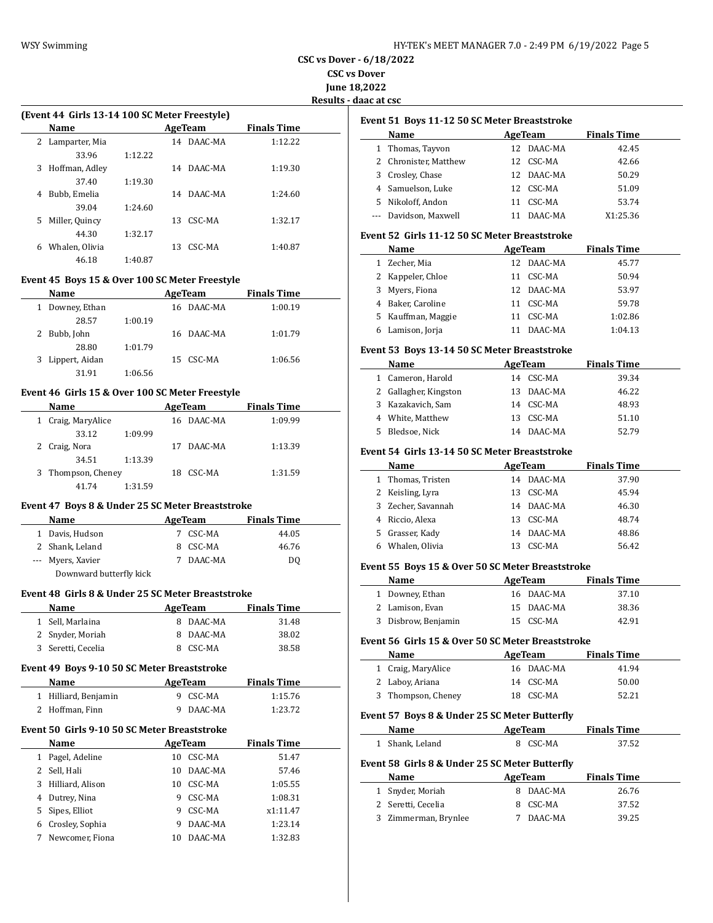**CSC vs Dover - 6/18/2022 CSC vs Dover**

**June 18,2022**

**Results - daac at csc**

 $\overline{\phantom{a}}$ 

 $\sim$ 

|   | (Event 44 Girls 13-14 100 SC Meter Freestyle) |         |    |         |                    |  |  |  |  |  |
|---|-----------------------------------------------|---------|----|---------|--------------------|--|--|--|--|--|
|   | Name                                          |         |    | AgeTeam | <b>Finals Time</b> |  |  |  |  |  |
|   | 2 Lamparter, Mia                              |         | 14 | DAAC-MA | 1:12.22            |  |  |  |  |  |
|   | 33.96                                         | 1:12.22 |    |         |                    |  |  |  |  |  |
| 3 | Hoffman, Adley                                |         | 14 | DAAC-MA | 1:19.30            |  |  |  |  |  |
|   | 37.40                                         | 1:19.30 |    |         |                    |  |  |  |  |  |
| 4 | Bubb, Emelia                                  |         | 14 | DAAC-MA | 1:24.60            |  |  |  |  |  |
|   | 39.04                                         | 1:24.60 |    |         |                    |  |  |  |  |  |
| 5 | Miller, Quincy                                |         | 13 | CSC-MA  | 1:32.17            |  |  |  |  |  |
|   | 44.30                                         | 1:32.17 |    |         |                    |  |  |  |  |  |
| 6 | Whalen, Olivia                                |         | 13 | CSC-MA  | 1:40.87            |  |  |  |  |  |
|   | 46.18                                         | 1:40.87 |    |         |                    |  |  |  |  |  |

#### **Event 45 Boys 15 & Over 100 SC Meter Freestyle**

| Name                |         | AgeTeam    | <b>Finals Time</b> |  |
|---------------------|---------|------------|--------------------|--|
| Downey, Ethan<br>1  |         | 16 DAAC-MA | 1:00.19            |  |
| 28.57               | 1:00.19 |            |                    |  |
| Bubb, John          |         | 16 DAAC-MA | 1:01.79            |  |
| 28.80               | 1:01.79 |            |                    |  |
| Lippert, Aidan<br>3 |         | 15 CSC-MA  | 1:06.56            |  |
| 31.91               | 1:06.56 |            |                    |  |

# **Event 46 Girls 15 & Over 100 SC Meter Freestyle**

| Name               |         |    | AgeTeam    | <b>Finals Time</b> |         |
|--------------------|---------|----|------------|--------------------|---------|
| 1 Craig, MaryAlice |         |    | 16 DAAC-MA |                    | 1:09.99 |
| 33.12              | 1:09.99 |    |            |                    |         |
| 2 Craig, Nora      |         | 17 | DAAC-MA    |                    | 1:13.39 |
| 34.51              | 1:13.39 |    |            |                    |         |
| 3 Thompson, Cheney |         | 18 | CSC-MA     |                    | 1:31.59 |
| 41.74              | 1:31.59 |    |            |                    |         |

# **Event 47 Boys 8 & Under 25 SC Meter Breaststroke**

 $\overline{a}$ 

| <b>Name</b>             |   | AgeTeam | <b>Finals Time</b> |  |
|-------------------------|---|---------|--------------------|--|
| 1 Davis, Hudson         |   | CSC-MA  | 44.05              |  |
| 2 Shank, Leland         | 8 | CSC-MA  | 46.76              |  |
| --- Myers, Xavier       |   | DAAC-MA | DO                 |  |
| Downward butterfly kick |   |         |                    |  |

#### **Event 48 Girls 8 & Under 25 SC Meter Breaststroke**

| Name               | AgeTeam  |           | <b>Finals Time</b> |  |
|--------------------|----------|-----------|--------------------|--|
| 1 Sell, Marlaina   |          | 8 DAAC-MA | 31.48              |  |
| 2 Snyder, Moriah   |          | 8 DAAC-MA | 38.02              |  |
| 3 Seretti, Cecelia | 8 CSC-MA |           | 38.58              |  |

#### **Event 49 Boys 9-10 50 SC Meter Breaststroke**

| Name                 | AgeTeam   | <b>Finals Time</b> |  |
|----------------------|-----------|--------------------|--|
| 1 Hilliard, Benjamin | 9 CSC-MA  | 1:15.76            |  |
| 2 Hoffman, Finn      | 9 DAAC-MA | 1:23.72            |  |

# **Event 50 Girls 9-10 50 SC Meter Breaststroke**

|    | Name             | AgeTeam |         | <b>Finals Time</b> |
|----|------------------|---------|---------|--------------------|
|    | Pagel, Adeline   | 10      | CSC-MA  | 51.47              |
| 2  | Sell, Hali       | 10      | DAAC-MA | 57.46              |
| 3  | Hilliard, Alison | 10      | CSC-MA  | 1:05.55            |
| 4  | Dutrey, Nina     | 9       | CSC-MA  | 1:08.31            |
| 5. | Sipes, Elliot    | 9       | CSC-MA  | x1:11.47           |
| 6  | Crosley, Sophia  | 9       | DAAC-MA | 1:23.14            |
|    | Newcomer, Fiona  |         | DAAC-MA | 1:32.83            |

|   | Name                  |     | AgeTeam    | <b>Finals Time</b> |  |
|---|-----------------------|-----|------------|--------------------|--|
|   | 1 Thomas, Tayvon      |     | 12 DAAC-MA | 42.45              |  |
|   | Chronister, Matthew   |     | 12 CSC-MA  | 42.66              |  |
| 3 | Crosley, Chase        |     | 12 DAAC-MA | 50.29              |  |
|   | 4 Samuelson, Luke     |     | 12 CSC-MA  | 51.09              |  |
|   | 5 Nikoloff, Andon     | 11. | CSC-MA     | 53.74              |  |
|   | --- Davidson, Maxwell |     | DAAC-MA    | X1:25.36           |  |

# **Event 52 Girls 11-12 50 SC Meter Breaststroke**

|   | Name               | AgeTeam    | <b>Finals Time</b> |
|---|--------------------|------------|--------------------|
| 1 | Zecher, Mia        | 12 DAAC-MA | 45.77              |
|   | 2 Kappeler, Chloe  | 11 CSC-MA  | 50.94              |
|   | 3 Myers, Fiona     | 12 DAAC-MA | 53.97              |
|   | 4 Baker, Caroline  | 11 CSC-MA  | 59.78              |
|   | 5 Kauffman, Maggie | CSC-MA     | 1:02.86            |
|   | Lamison, Jorja     | DAAC-MA    | 1:04.13            |

#### **Event 53 Boys 13-14 50 SC Meter Breaststroke**

|    | Name                  | AgeTeam    | <b>Finals Time</b> |  |
|----|-----------------------|------------|--------------------|--|
|    | 1 Cameron, Harold     | 14 CSC-MA  | 39.34              |  |
|    | 2 Gallagher, Kingston | 13 DAAC-MA | 46.22              |  |
|    | 3 Kazakavich, Sam     | 14 CSC-MA  | 48.93              |  |
|    | 4 White, Matthew      | 13 CSC-MA  | 51.10              |  |
| 5. | Bledsoe, Nick         | 14 DAAC-MA | 52.79              |  |

#### **Event 54 Girls 13-14 50 SC Meter Breaststroke**

| Name               | AgeTeam    | <b>Finals Time</b> |  |
|--------------------|------------|--------------------|--|
| 1 Thomas, Tristen  | 14 DAAC-MA | 37.90              |  |
| 2 Keisling, Lyra   | 13 CSC-MA  | 45.94              |  |
| 3 Zecher, Savannah | 14 DAAC-MA | 46.30              |  |
| 4 Riccio, Alexa    | 13 CSC-MA  | 48.74              |  |
| 5 Grasser, Kady    | 14 DAAC-MA | 48.86              |  |
| Whalen, Olivia     | CSC-MA     | 56.42              |  |

#### **Event 55 Boys 15 & Over 50 SC Meter Breaststroke**

| Name                | AgeTeam    | <b>Finals Time</b> |  |
|---------------------|------------|--------------------|--|
| 1 Downey Ethan      | 16 DAAC-MA | 37.10              |  |
| 2 Lamison, Evan     | 15 DAAC-MA | 38.36              |  |
| 3 Disbrow, Benjamin | 15 CSC-MA  | 42.91              |  |

#### **Event 56 Girls 15 & Over 50 SC Meter Breaststroke**

| Name               | AgeTeam    | <b>Finals Time</b> |
|--------------------|------------|--------------------|
| 1 Craig, MaryAlice | 16 DAAC-MA | 41.94              |
| 2 Laboy, Ariana    | 14 CSC-MA  | 50.00              |
| 3 Thompson, Cheney | 18 CSC-MA  | 52.21              |

#### **Event 57 Boys 8 & Under 25 SC Meter Butterfly**

| Name            | AgeTeam  | <b>Finals Time</b> |
|-----------------|----------|--------------------|
| 1 Shank, Leland | 8 CSC-MA | 37.52              |

#### **Event 58 Girls 8 & Under 25 SC Meter Butterfly**

| Name                 | AgeTeam   | <b>Finals Time</b> |
|----------------------|-----------|--------------------|
| 1 Snyder, Moriah     | 8 DAAC-MA | 26.76              |
| 2 Seretti, Cecelia   | 8 CSC-MA  | 37.52              |
| 3 Zimmerman, Brynlee | DAAC-MA   | 39.25              |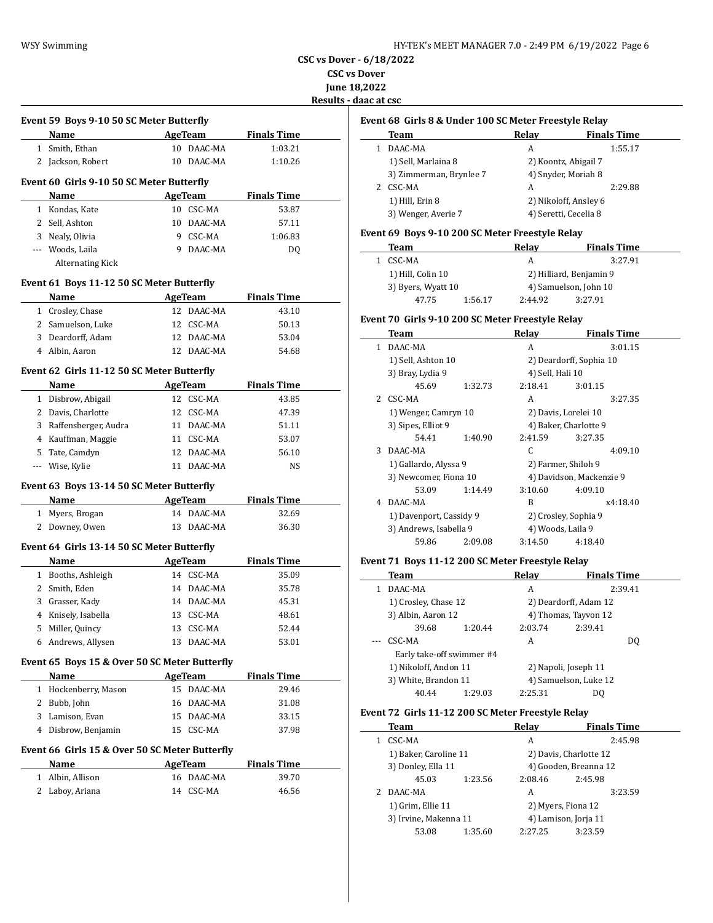| HY-TEK's MEET MANAGER 7.0 - 2:49 PM 6/19/2022 Page 6 |  |  |
|------------------------------------------------------|--|--|
|------------------------------------------------------|--|--|

**CSC vs Dover - 6/18/2022 CSC vs Dover June 18,2022**

**Results - daac a** 

|                | Name                                           |    |                | <b>Example 2 AgeTeam</b> Finals Time |
|----------------|------------------------------------------------|----|----------------|--------------------------------------|
|                | 1 Smith, Ethan                                 |    | 10 DAAC-MA     | 1:03.21                              |
|                | 2 Jackson, Robert                              |    | 10 DAAC-MA     | 1:10.26                              |
|                | Event 60 Girls 9-10 50 SC Meter Butterfly      |    |                |                                      |
|                | Name                                           |    |                | AgeTeam Finals Time                  |
|                | 1 Kondas, Kate                                 |    | 10 CSC-MA      | 53.87                                |
|                | 2 Sell, Ashton                                 |    | 10 DAAC-MA     | 57.11                                |
|                | 3 Nealy, Olivia                                |    | 9 CSC-MA       | 1:06.83                              |
|                | --- Woods, Laila                               |    | 9 DAAC-MA      | DQ                                   |
|                | <b>Alternating Kick</b>                        |    |                |                                      |
|                | Event 61 Boys 11-12 50 SC Meter Butterfly      |    |                |                                      |
|                | Name                                           |    |                | <b>AgeTeam</b> Finals Time           |
|                | 1 Crosley, Chase                               |    | 12 DAAC-MA     | 43.10                                |
|                | 2 Samuelson, Luke                              |    | 12 CSC-MA      | 50.13                                |
|                | 3 Deardorff, Adam                              |    | 12 DAAC-MA     | 53.04                                |
|                | 4 Albin, Aaron                                 |    | 12 DAAC-MA     | 54.68                                |
|                | Event 62 Girls 11-12 50 SC Meter Butterfly     |    |                |                                      |
|                | Name                                           |    |                | AgeTeam Finals Time                  |
|                | 1 Disbrow, Abigail                             |    | 12 CSC-MA      | 43.85                                |
|                | 2 Davis, Charlotte                             |    | 12 CSC-MA      | 47.39                                |
|                | 3 Raffensberger, Audra                         |    | 11 DAAC-MA     | 51.11                                |
|                | 4 Kauffman, Maggie                             |    | 11 CSC-MA      | 53.07                                |
|                | 5 Tate, Camdyn                                 |    | 12 DAAC-MA     | 56.10                                |
| $\overline{a}$ | Wise, Kylie                                    |    | 11 DAAC-MA     | NS                                   |
|                | Event 63 Boys 13-14 50 SC Meter Butterfly      |    |                |                                      |
|                | Name                                           |    |                | AgeTeam Finals Time                  |
|                |                                                |    |                | 32.69                                |
|                | 1 Myers, Brogan                                |    | 14 DAAC-MA     |                                      |
|                | 2 Downey, Owen                                 |    | 13 DAAC-MA     | 36.30                                |
|                | Event 64 Girls 13-14 50 SC Meter Butterfly     |    |                |                                      |
|                | Name                                           |    | AgeTeam        | <b>Finals Time</b>                   |
|                | 1 Booths, Ashleigh                             |    | 14 CSC-MA      | 35.09                                |
|                | 2 Smith, Eden                                  |    | 14 DAAC-MA     | 35.78                                |
|                | 3 Grasser, Kady                                |    | 14 DAAC-MA     | 45.31                                |
|                | 4 Knisely, Isabella                            |    | 13 CSC-MA      | 48.61                                |
|                | 5 Miller, Quincy                               |    | 13 CSC-MA      | 52.44                                |
|                | 6 Andrews, Allysen                             | 13 | DAAC-MA        | 53.01                                |
|                | Event 65 Boys 15 & Over 50 SC Meter Butterfly  |    |                |                                      |
|                | Name                                           |    | <b>AgeTeam</b> | <b>Finals Time</b>                   |
|                | 1 Hockenberry, Mason                           | 15 | DAAC-MA        | 29.46                                |
|                | 2 Bubb, John                                   | 16 | DAAC-MA        | 31.08                                |
|                | 3 Lamison, Evan                                | 15 | DAAC-MA        | 33.15                                |
|                | 4 Disbrow, Benjamin                            |    | 15 CSC-MA      | 37.98                                |
|                | Event 66 Girls 15 & Over 50 SC Meter Butterfly |    |                |                                      |
|                | Name                                           |    | AgeTeam        | <b>Finals Time</b>                   |
|                | 1 Albin, Allison                               |    | 16 DAAC-MA     | 39.70                                |

|              | Event 68 Girls 8 & Under 100 SC Meter Freestyle Relay<br>Team |         | Relay                    | <b>Finals Time</b>      |  |
|--------------|---------------------------------------------------------------|---------|--------------------------|-------------------------|--|
| $\mathbf{1}$ | DAAC-MA                                                       |         | A                        | 1:55.17                 |  |
|              | 1) Sell, Marlaina 8                                           |         |                          | 2) Koontz, Abigail 7    |  |
|              | 3) Zimmerman, Brynlee 7                                       |         |                          | 4) Snyder, Moriah 8     |  |
|              | 2 CSC-MA                                                      |         | A                        | 2:29.88                 |  |
|              | 1) Hill, Erin 8                                               |         |                          | 2) Nikoloff, Ansley 6   |  |
|              | 3) Wenger, Averie 7                                           |         |                          | 4) Seretti, Cecelia 8   |  |
|              | Event 69 Boys 9-10 200 SC Meter Freestyle Relay               |         |                          |                         |  |
|              | Team                                                          |         | Relay                    | <b>Finals Time</b>      |  |
|              | 1 CSC-MA                                                      |         | A                        | 3:27.91                 |  |
|              | 1) Hill, Colin 10                                             |         |                          | 2) Hilliard, Benjamin 9 |  |
|              | 3) Byers, Wyatt 10                                            |         |                          | 4) Samuelson, John 10   |  |
|              | 47.75                                                         | 1:56.17 | 2:44.92                  | 3:27.91                 |  |
|              | Event 70 Girls 9-10 200 SC Meter Freestyle Relay              |         |                          |                         |  |
|              | Team                                                          |         | <b>Relay</b>             | <b>Finals Time</b>      |  |
| $\mathbf{1}$ | DAAC-MA                                                       |         | A                        | 3:01.15                 |  |
|              | 1) Sell, Ashton 10                                            |         | 2) Deardorff, Sophia 10  |                         |  |
|              | 3) Bray, Lydia 9                                              |         | 4) Sell, Hali 10         |                         |  |
|              | 45.69                                                         | 1:32.73 | 2:18.41                  | 3:01.15                 |  |
| 2            | CSC-MA                                                        |         | A                        | 3:27.35                 |  |
|              | 1) Wenger, Camryn 10                                          |         | 2) Davis, Lorelei 10     |                         |  |
|              | 3) Sipes, Elliot 9                                            |         |                          | 4) Baker, Charlotte 9   |  |
|              | 54.41                                                         | 1:40.90 | 2:41.59                  | 3:27.35                 |  |
| 3            | DAAC-MA                                                       |         | C                        | 4:09.10                 |  |
|              | 1) Gallardo, Alyssa 9                                         |         | 2) Farmer, Shiloh 9      |                         |  |
|              | 3) Newcomer, Fiona 10                                         |         | 4) Davidson, Mackenzie 9 |                         |  |
|              | 53.09                                                         | 1:14.49 | 3:10.60                  | 4:09.10                 |  |
| 4            | DAAC-MA                                                       |         | B                        | x4:18.40                |  |
|              | 1) Davenport, Cassidy 9                                       |         | 2) Crosley, Sophia 9     |                         |  |
|              | 3) Andrews, Isabella 9                                        |         | 4) Woods, Laila 9        |                         |  |
|              | 59.86                                                         | 2:09.08 | 3:14.50                  | 4:18.40                 |  |
|              | Event 71 Boys 11-12 200 SC Meter Freestyle Relay              |         |                          |                         |  |
|              | Team                                                          |         | <b>Relay</b>             | <b>Finals Time</b>      |  |
| $\mathbf{1}$ | DAAC-MA                                                       |         | A                        | 2:39.41                 |  |
|              | 1) Crosley, Chase 12                                          |         | 2) Deardorff, Adam 12    |                         |  |
|              | 3) Albin, Aaron 12                                            |         |                          | 4) Thomas, Tayvon 12    |  |
|              | 39.68                                                         | 1:20.44 | 2:03.74                  | 2:39.41                 |  |
|              | CSC-MA                                                        |         | A                        | DQ                      |  |
|              | Early take-off swimmer #4                                     |         |                          |                         |  |
|              | 1) Nikoloff, Andon 11                                         |         |                          | 2) Napoli, Joseph 11    |  |

# **Event 72 Girls 11-12 200 SC Meter Freestyle Relay**

3) White, Brandon 11 4) Samuelson, Luke 12 40.44 1:29.03 2:25.31 DQ

| Team                  |         | Relay   | <b>Finals Time</b>     |  |
|-----------------------|---------|---------|------------------------|--|
| CSC-MA                |         | A       | 2:45.98                |  |
| 1) Baker, Caroline 11 |         |         | 2) Davis, Charlotte 12 |  |
| 3) Donley, Ella 11    |         |         | 4) Gooden, Breanna 12  |  |
| 45.03                 | 1:23.56 | 2:08.46 | 2:45.98                |  |
| DAAC-MA               |         | A       | 3:23.59                |  |
| 1) Grim, Ellie 11     |         |         | 2) Myers, Fiona 12     |  |
| 3) Irvine, Makenna 11 |         |         | 4) Lamison, Jorja 11   |  |
| 53.08                 | 1:35.60 | 2:27.25 | 3:23.59                |  |